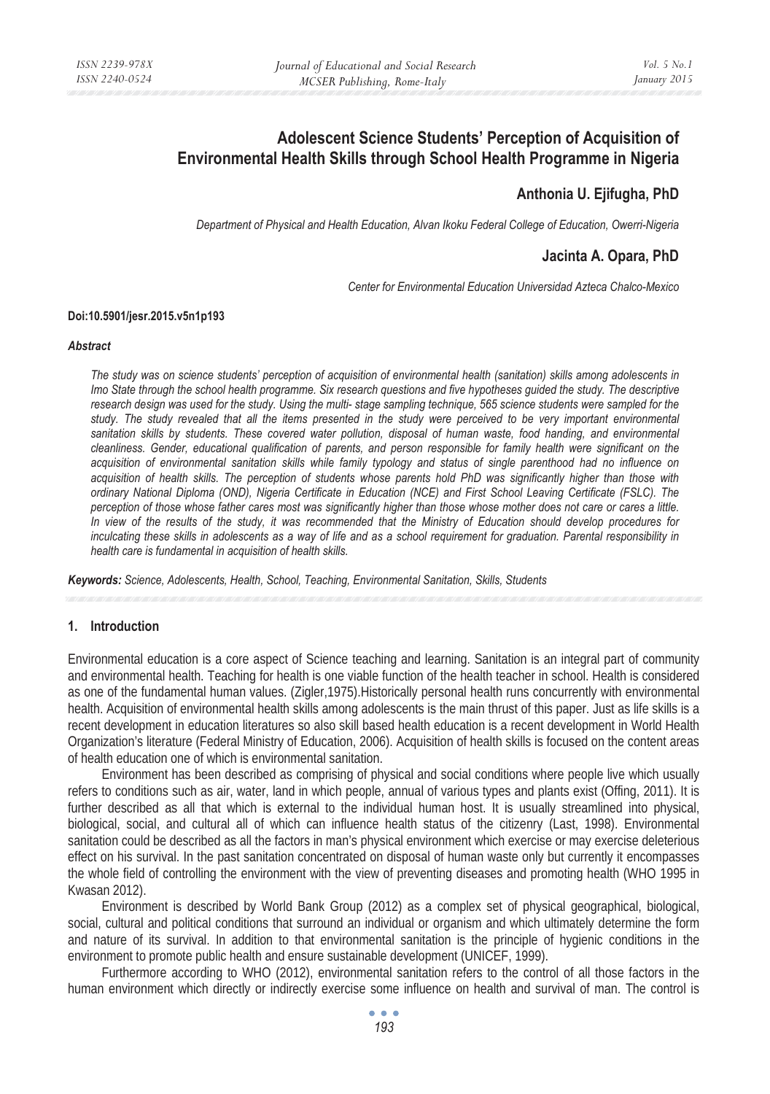# **Adolescent Science Students' Perception of Acquisition of Environmental Health Skills through School Health Programme in Nigeria**

# **Anthonia U. Ejifugha, PhD**

*Department of Physical and Health Education, Alvan Ikoku Federal College of Education, Owerri-Nigeria* 

# **Jacinta A. Opara, PhD**

*Center for Environmental Education Universidad Azteca Chalco-Mexico* 

#### **Doi:10.5901/jesr.2015.v5n1p193**

#### *Abstract*

*The study was on science students' perception of acquisition of environmental health (sanitation) skills among adolescents in Imo State through the school health programme. Six research questions and five hypotheses guided the study. The descriptive research design was used for the study. Using the multi- stage sampling technique, 565 science students were sampled for the*  study. The study revealed that all the items presented in the study were perceived to be very important environmental sanitation skills by students. These covered water pollution, disposal of human waste, food handing, and environmental *cleanliness. Gender, educational qualification of parents, and person responsible for family health were significant on the acquisition of environmental sanitation skills while family typology and status of single parenthood had no influence on acquisition of health skills. The perception of students whose parents hold PhD was significantly higher than those with ordinary National Diploma (OND), Nigeria Certificate in Education (NCE) and First School Leaving Certificate (FSLC). The perception of those whose father cares most was significantly higher than those whose mother does not care or cares a little. In view of the results of the study, it was recommended that the Ministry of Education should develop procedures for inculcating these skills in adolescents as a way of life and as a school requirement for graduation. Parental responsibility in health care is fundamental in acquisition of health skills.* 

*Keywords: Science, Adolescents, Health, School, Teaching, Environmental Sanitation, Skills, Students*

## **1. Introduction**

Environmental education is a core aspect of Science teaching and learning. Sanitation is an integral part of community and environmental health. Teaching for health is one viable function of the health teacher in school. Health is considered as one of the fundamental human values. (Zigler,1975).Historically personal health runs concurrently with environmental health. Acquisition of environmental health skills among adolescents is the main thrust of this paper. Just as life skills is a recent development in education literatures so also skill based health education is a recent development in World Health Organization's literature (Federal Ministry of Education, 2006). Acquisition of health skills is focused on the content areas of health education one of which is environmental sanitation.

Environment has been described as comprising of physical and social conditions where people live which usually refers to conditions such as air, water, land in which people, annual of various types and plants exist (Offing, 2011). It is further described as all that which is external to the individual human host. It is usually streamlined into physical, biological, social, and cultural all of which can influence health status of the citizenry (Last, 1998). Environmental sanitation could be described as all the factors in man's physical environment which exercise or may exercise deleterious effect on his survival. In the past sanitation concentrated on disposal of human waste only but currently it encompasses the whole field of controlling the environment with the view of preventing diseases and promoting health (WHO 1995 in Kwasan 2012).

Environment is described by World Bank Group (2012) as a complex set of physical geographical, biological, social, cultural and political conditions that surround an individual or organism and which ultimately determine the form and nature of its survival. In addition to that environmental sanitation is the principle of hygienic conditions in the environment to promote public health and ensure sustainable development (UNICEF, 1999).

Furthermore according to WHO (2012), environmental sanitation refers to the control of all those factors in the human environment which directly or indirectly exercise some influence on health and survival of man. The control is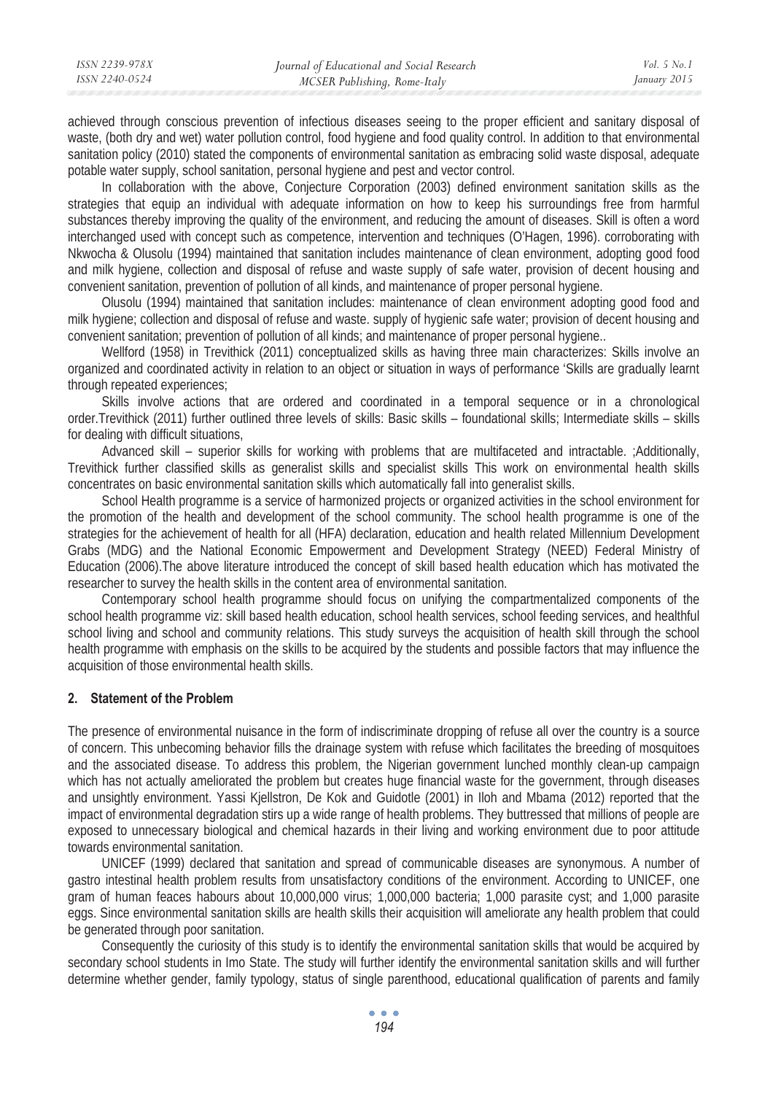achieved through conscious prevention of infectious diseases seeing to the proper efficient and sanitary disposal of waste, (both dry and wet) water pollution control, food hygiene and food quality control. In addition to that environmental sanitation policy (2010) stated the components of environmental sanitation as embracing solid waste disposal, adequate potable water supply, school sanitation, personal hygiene and pest and vector control.

In collaboration with the above, Conjecture Corporation (2003) defined environment sanitation skills as the strategies that equip an individual with adequate information on how to keep his surroundings free from harmful substances thereby improving the quality of the environment, and reducing the amount of diseases. Skill is often a word interchanged used with concept such as competence, intervention and techniques (O'Hagen, 1996). corroborating with Nkwocha & Olusolu (1994) maintained that sanitation includes maintenance of clean environment, adopting good food and milk hygiene, collection and disposal of refuse and waste supply of safe water, provision of decent housing and convenient sanitation, prevention of pollution of all kinds, and maintenance of proper personal hygiene.

Olusolu (1994) maintained that sanitation includes: maintenance of clean environment adopting good food and milk hygiene; collection and disposal of refuse and waste. supply of hygienic safe water; provision of decent housing and convenient sanitation; prevention of pollution of all kinds; and maintenance of proper personal hygiene..

Wellford (1958) in Trevithick (2011) conceptualized skills as having three main characterizes: Skills involve an organized and coordinated activity in relation to an object or situation in ways of performance 'Skills are gradually learnt through repeated experiences;

Skills involve actions that are ordered and coordinated in a temporal sequence or in a chronological order.Trevithick (2011) further outlined three levels of skills: Basic skills – foundational skills; Intermediate skills – skills for dealing with difficult situations,

Advanced skill – superior skills for working with problems that are multifaceted and intractable. ;Additionally, Trevithick further classified skills as generalist skills and specialist skills This work on environmental health skills concentrates on basic environmental sanitation skills which automatically fall into generalist skills.

School Health programme is a service of harmonized projects or organized activities in the school environment for the promotion of the health and development of the school community. The school health programme is one of the strategies for the achievement of health for all (HFA) declaration, education and health related Millennium Development Grabs (MDG) and the National Economic Empowerment and Development Strategy (NEED) Federal Ministry of Education (2006).The above literature introduced the concept of skill based health education which has motivated the researcher to survey the health skills in the content area of environmental sanitation.

Contemporary school health programme should focus on unifying the compartmentalized components of the school health programme viz: skill based health education, school health services, school feeding services, and healthful school living and school and community relations. This study surveys the acquisition of health skill through the school health programme with emphasis on the skills to be acquired by the students and possible factors that may influence the acquisition of those environmental health skills.

## **2. Statement of the Problem**

The presence of environmental nuisance in the form of indiscriminate dropping of refuse all over the country is a source of concern. This unbecoming behavior fills the drainage system with refuse which facilitates the breeding of mosquitoes and the associated disease. To address this problem, the Nigerian government lunched monthly clean-up campaign which has not actually ameliorated the problem but creates huge financial waste for the government, through diseases and unsightly environment. Yassi Kjellstron, De Kok and Guidotle (2001) in Iloh and Mbama (2012) reported that the impact of environmental degradation stirs up a wide range of health problems. They buttressed that millions of people are exposed to unnecessary biological and chemical hazards in their living and working environment due to poor attitude towards environmental sanitation.

UNICEF (1999) declared that sanitation and spread of communicable diseases are synonymous. A number of gastro intestinal health problem results from unsatisfactory conditions of the environment. According to UNICEF, one gram of human feaces habours about 10,000,000 virus; 1,000,000 bacteria; 1,000 parasite cyst; and 1,000 parasite eggs. Since environmental sanitation skills are health skills their acquisition will ameliorate any health problem that could be generated through poor sanitation.

Consequently the curiosity of this study is to identify the environmental sanitation skills that would be acquired by secondary school students in Imo State. The study will further identify the environmental sanitation skills and will further determine whether gender, family typology, status of single parenthood, educational qualification of parents and family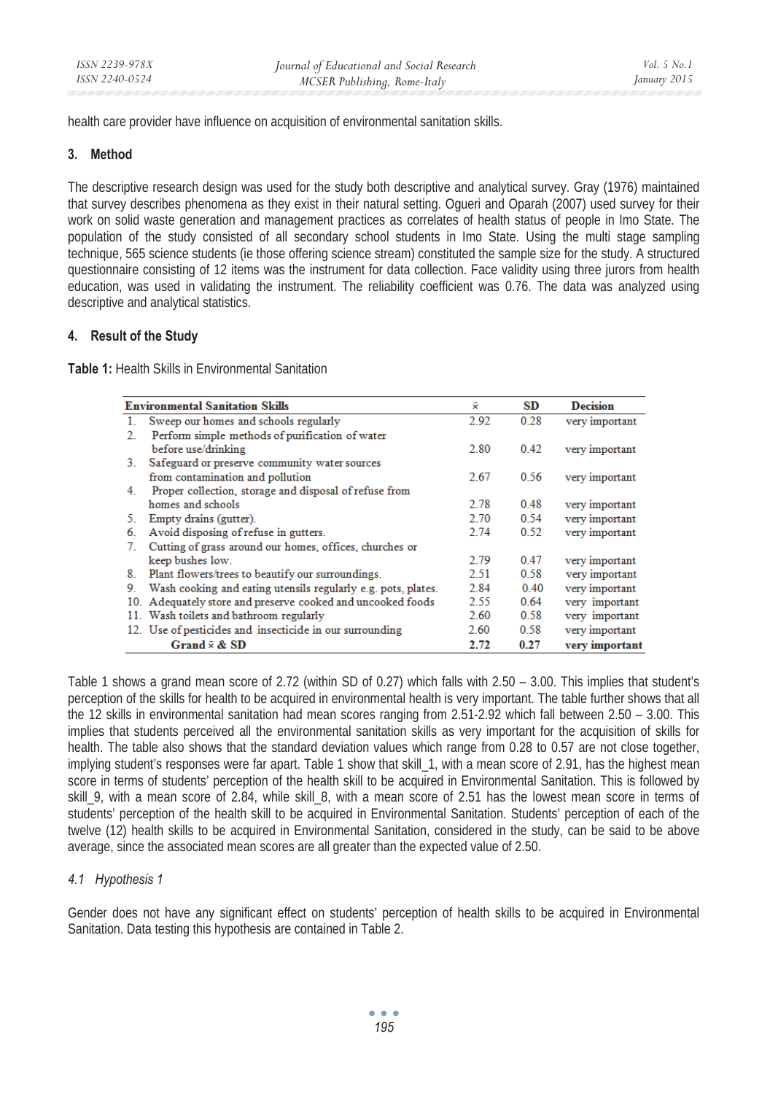health care provider have influence on acquisition of environmental sanitation skills.

#### **3. Method**

The descriptive research design was used for the study both descriptive and analytical survey. Gray (1976) maintained that survey describes phenomena as they exist in their natural setting. Ogueri and Oparah (2007) used survey for their work on solid waste generation and management practices as correlates of health status of people in Imo State. The population of the study consisted of all secondary school students in Imo State. Using the multi stage sampling technique, 565 science students (ie those offering science stream) constituted the sample size for the study. A structured questionnaire consisting of 12 items was the instrument for data collection. Face validity using three jurors from health education, was used in validating the instrument. The reliability coefficient was 0.76. The data was analyzed using descriptive and analytical statistics.

## **4. Result of the Study**

**Table 1:** Health Skills in Environmental Sanitation

|               | <b>Environmental Sanitation Skills</b>                        | ž.   | SD   | <b>Decision</b> |
|---------------|---------------------------------------------------------------|------|------|-----------------|
| 1.            | Sweep our homes and schools regularly                         | 2.92 | 0.28 | very important  |
| $\mathcal{L}$ | Perform simple methods of purification of water               |      |      |                 |
|               | before use/drinking                                           | 2.80 | 0.42 | very important  |
| 3.            | Safeguard or preserve community water sources                 |      |      |                 |
|               | from contamination and pollution                              | 2.67 | 0.56 | very important  |
| 4.            | Proper collection, storage and disposal of refuse from        |      |      |                 |
|               | homes and schools                                             | 2.78 | 0.48 | very important  |
| 5.            | Empty drains (gutter).                                        | 2.70 | 0.54 | very important  |
| 6.            | Avoid disposing of refuse in gutters.                         | 2.74 | 0.52 | very important  |
| 7.            | Cutting of grass around our homes, offices, churches or       |      |      |                 |
|               | keep bushes low.                                              | 2.79 | 0.47 | very important  |
| 8.            | Plant flowers/trees to beautify our surroundings.             | 2.51 | 0.58 | very important  |
| 9             | Wash cooking and eating utensils regularly e.g. pots, plates. | 2.84 | 0.40 | very important  |
|               | 10. Adequately store and preserve cooked and uncooked foods   | 2.55 | 0.64 | very important  |
|               | 11. Wash toilets and bathroom regularly                       | 2.60 | 0.58 | very important  |
|               | 12. Use of pesticides and insecticide in our surrounding      | 2.60 | 0.58 | very important  |
|               | Grand $\bar{x}$ & SD                                          | 2.72 | 0.27 | very important  |

Table 1 shows a grand mean score of 2.72 (within SD of 0.27) which falls with 2.50 – 3.00. This implies that student's perception of the skills for health to be acquired in environmental health is very important. The table further shows that all the 12 skills in environmental sanitation had mean scores ranging from 2.51-2.92 which fall between 2.50 – 3.00. This implies that students perceived all the environmental sanitation skills as very important for the acquisition of skills for health. The table also shows that the standard deviation values which range from 0.28 to 0.57 are not close together, implying student's responses were far apart. Table 1 show that skill\_1, with a mean score of 2.91, has the highest mean score in terms of students' perception of the health skill to be acquired in Environmental Sanitation. This is followed by skill\_9, with a mean score of 2.84, while skill\_8, with a mean score of 2.51 has the lowest mean score in terms of students' perception of the health skill to be acquired in Environmental Sanitation. Students' perception of each of the twelve (12) health skills to be acquired in Environmental Sanitation, considered in the study, can be said to be above average, since the associated mean scores are all greater than the expected value of 2.50.

## *4.1 Hypothesis 1*

Gender does not have any significant effect on students' perception of health skills to be acquired in Environmental Sanitation. Data testing this hypothesis are contained in Table 2.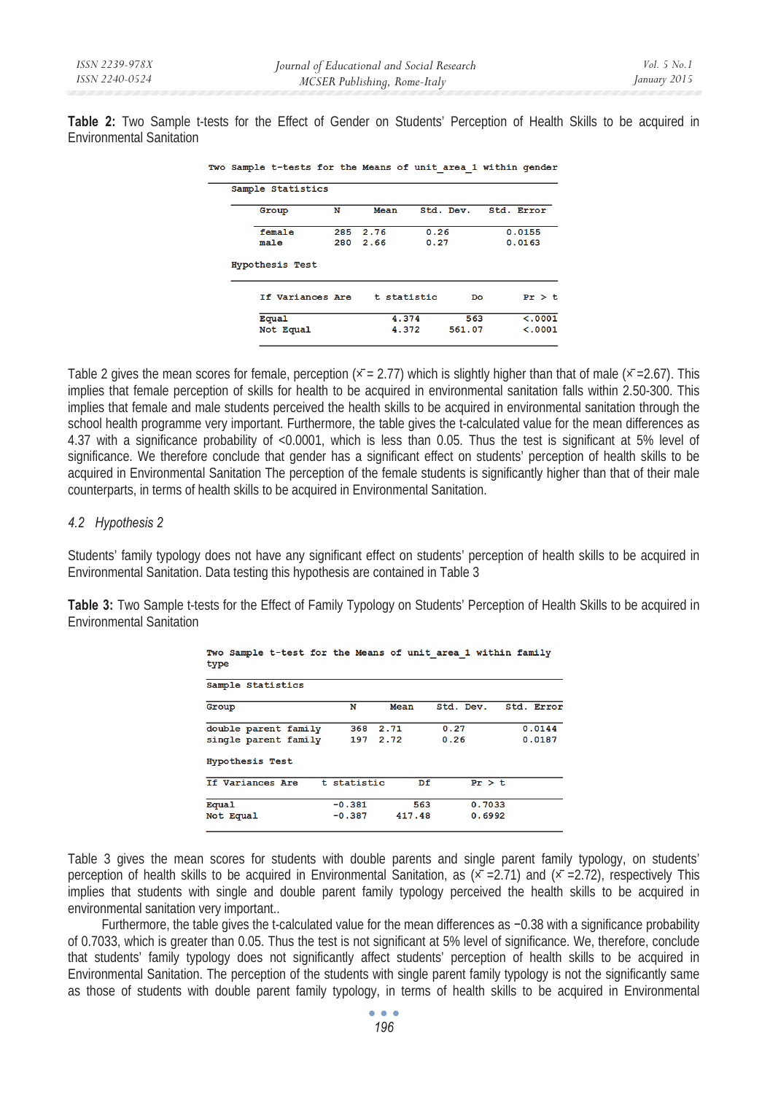**Table 2:** Two Sample t-tests for the Effect of Gender on Students' Perception of Health Skills to be acquired in Environmental Sanitation

Two Sample t-tests for the Means of unit area 1 within gender

| Group            | N   | Mean        |      | Std. Dev. |        | Std. Error          |  |
|------------------|-----|-------------|------|-----------|--------|---------------------|--|
| female           | 285 | 2.76        | 0.26 |           |        | 0.0155              |  |
| male             | 280 | 2.66        | 0.27 |           | 0.0163 |                     |  |
| Hypothesis Test  |     |             |      |           |        |                     |  |
| If Variances Are |     | t statistic |      | Do        |        | Pr > t              |  |
| Equal            |     | 4.374       |      | 563       |        | $\overline{<0.001}$ |  |

Table 2 gives the mean scores for female, perception ( $\bar{x}$  = 2.77) which is slightly higher than that of male ( $\bar{x}$  = 2.67). This implies that female perception of skills for health to be acquired in environmental sanitation falls within 2.50-300. This implies that female and male students perceived the health skills to be acquired in environmental sanitation through the school health programme very important. Furthermore, the table gives the t-calculated value for the mean differences as 4.37 with a significance probability of <0.0001, which is less than 0.05. Thus the test is significant at 5% level of significance. We therefore conclude that gender has a significant effect on students' perception of health skills to be acquired in Environmental Sanitation The perception of the female students is significantly higher than that of their male counterparts, in terms of health skills to be acquired in Environmental Sanitation.

#### *4.2 Hypothesis 2*

Students' family typology does not have any significant effect on students' perception of health skills to be acquired in Environmental Sanitation. Data testing this hypothesis are contained in Table 3

**Table 3:** Two Sample t-tests for the Effect of Family Typology on Students' Perception of Health Skills to be acquired in Environmental Sanitation

| N        | Mean   | Std. Dev.   | Std. Error                 |
|----------|--------|-------------|----------------------------|
| 368      | 2.71   | 0.27        | 0.0144                     |
| 197      | 2.72   | 0.26        | 0.0187                     |
|          |        |             |                            |
|          | Df     |             |                            |
| $-0.381$ | 563    |             |                            |
| $-0.387$ | 417.48 |             |                            |
|          |        | t statistic | Pr > t<br>0.7033<br>0.6992 |

Two Sample t-test for the Means of unit area 1 within family

Table 3 gives the mean scores for students with double parents and single parent family typology, on students' perception of health skills to be acquired in Environmental Sanitation, as ( $\bar{x}$  = 2.71) and ( $\bar{x}$  = 2.72), respectively This implies that students with single and double parent family typology perceived the health skills to be acquired in environmental sanitation very important..

Furthermore, the table gives the t-calculated value for the mean differences as -0.38 with a significance probability of 0.7033, which is greater than 0.05. Thus the test is not significant at 5% level of significance. We, therefore, conclude that students' family typology does not significantly affect students' perception of health skills to be acquired in Environmental Sanitation. The perception of the students with single parent family typology is not the significantly same as those of students with double parent family typology, in terms of health skills to be acquired in Environmental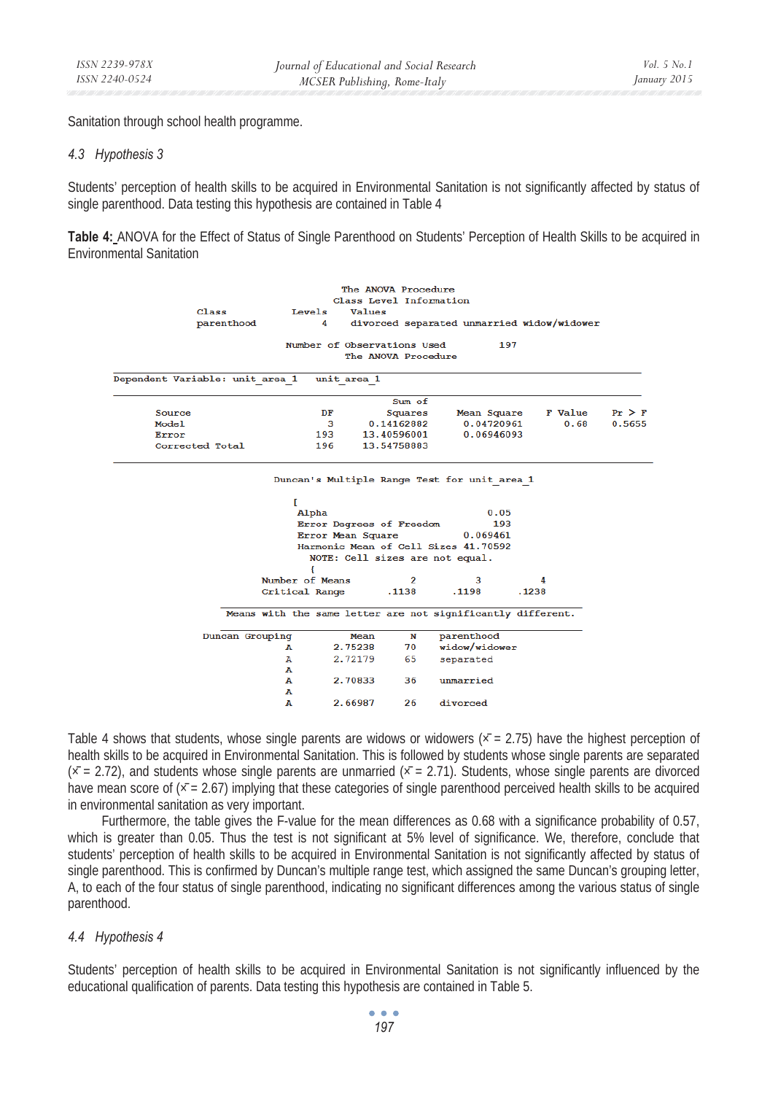Sanitation through school health programme.

#### *4.3 Hypothesis 3*

Students' perception of health skills to be acquired in Environmental Sanitation is not significantly affected by status of single parenthood. Data testing this hypothesis are contained in Table 4

**Table 4:** ANOVA for the Effect of Status of Single Parenthood on Students' Perception of Health Skills to be acquired in Environmental Sanitation

|                                 |                 |                                 | The ANOVA Procedure     |                                                             |         |          |
|---------------------------------|-----------------|---------------------------------|-------------------------|-------------------------------------------------------------|---------|----------|
|                                 |                 |                                 | Class Level Information |                                                             |         |          |
| Class                           | Levels          | Values                          |                         |                                                             |         |          |
| parenthood                      |                 | 4                               |                         | divorced separated unmarried widow/widower                  |         |          |
|                                 |                 | Number of Observations Used     |                         | 197                                                         |         |          |
|                                 |                 |                                 | The ANOVA Procedure     |                                                             |         |          |
|                                 |                 |                                 |                         |                                                             |         |          |
| Dependent Variable: unit area 1 |                 | unit area 1                     |                         |                                                             |         |          |
|                                 |                 |                                 | Sum of                  |                                                             |         |          |
| Source                          |                 | DF                              | Squares                 | Mean Square                                                 | F Value | $Pr$ > F |
| Model                           |                 | 3                               | 0.14162882              | 0.04720961                                                  | 0.68    | 0.5655   |
| Error                           |                 | 193                             | 13.40596001             | 0.06946093                                                  |         |          |
| Corrected Total                 |                 | 196                             | 13.54758883             |                                                             |         |          |
|                                 |                 |                                 |                         |                                                             |         |          |
|                                 |                 |                                 |                         | Duncan's Multiple Range Test for unit area 1                |         |          |
|                                 |                 |                                 |                         |                                                             |         |          |
|                                 | г               |                                 |                         | 0.05                                                        |         |          |
|                                 | Alpha           |                                 |                         | 193                                                         |         |          |
|                                 |                 | Error Degrees of Freedom        |                         | 0.069461                                                    |         |          |
|                                 |                 | Error Mean Square               |                         | Harmonic Mean of Cell Sizes 41.70592                        |         |          |
|                                 |                 | NOTE: Cell sizes are not equal. |                         |                                                             |         |          |
|                                 | ſ               |                                 |                         |                                                             |         |          |
|                                 | Number of Means |                                 | $\overline{2}$          | 3                                                           | 4       |          |
|                                 |                 | Critical Range                  | .1138                   | .1198                                                       | . 1238  |          |
|                                 |                 |                                 |                         |                                                             |         |          |
|                                 |                 |                                 |                         | Means with the same letter are not significantly different. |         |          |
| Duncan Grouping                 |                 | Mean                            | N                       | parenthood                                                  |         |          |
|                                 | A               | 2.75238                         | 70                      | widow/widower                                               |         |          |
|                                 | А               | 2.72179                         | 65                      | separated                                                   |         |          |
|                                 | A               |                                 |                         |                                                             |         |          |
|                                 | A               | 2.70833                         | 36                      | unmarried                                                   |         |          |
|                                 | A               |                                 |                         |                                                             |         |          |
|                                 | A               | 2.66987                         | 26                      | divorced                                                    |         |          |

Table 4 shows that students, whose single parents are widows or widowers ( $\bar{x}$  = 2.75) have the highest perception of health skills to be acquired in Environmental Sanitation. This is followed by students whose single parents are separated ( $\bar{x}$  = 2.72), and students whose single parents are unmarried ( $\bar{x}$  = 2.71). Students, whose single parents are divorced have mean score of  $(\sqrt{2} = 2.67)$  implying that these categories of single parenthood perceived health skills to be acquired in environmental sanitation as very important.

Furthermore, the table gives the F-value for the mean differences as 0.68 with a significance probability of 0.57, which is greater than 0.05. Thus the test is not significant at 5% level of significance. We, therefore, conclude that students' perception of health skills to be acquired in Environmental Sanitation is not significantly affected by status of single parenthood. This is confirmed by Duncan's multiple range test, which assigned the same Duncan's grouping letter, A, to each of the four status of single parenthood, indicating no significant differences among the various status of single parenthood.

## *4.4 Hypothesis 4*

Students' perception of health skills to be acquired in Environmental Sanitation is not significantly influenced by the educational qualification of parents. Data testing this hypothesis are contained in Table 5.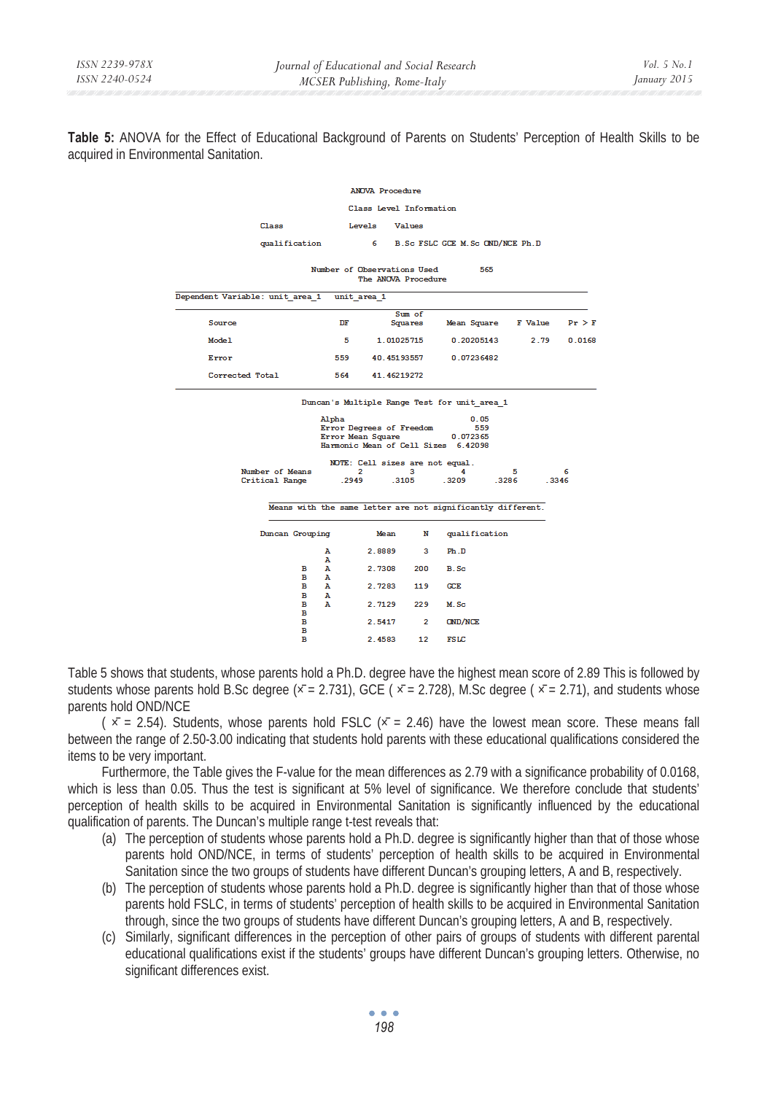$\overline{D}$ 

**Table 5:** ANOVA for the Effect of Educational Background of Parents on Students' Perception of Health Skills to be acquired in Environmental Sanitation.

|                 |                                   |                   | <b>ANOVA Procedure</b>                             |                   |                                                                                                                |            |                |            |
|-----------------|-----------------------------------|-------------------|----------------------------------------------------|-------------------|----------------------------------------------------------------------------------------------------------------|------------|----------------|------------|
|                 |                                   |                   | Class Level Information                            |                   |                                                                                                                |            |                |            |
|                 | Class                             |                   | Levels                                             | Values            |                                                                                                                |            |                |            |
|                 | qualification                     |                   |                                                    |                   | B.Sc FSLC GCE M.Sc OND/NCE Ph.D                                                                                |            |                |            |
|                 |                                   |                   | Number of Observations Used<br>The ANOVA Procedure |                   | 565                                                                                                            |            |                |            |
|                 | pendent Variable: unit area 1     |                   | unit area 1                                        |                   |                                                                                                                |            |                |            |
| Source          |                                   | DF                |                                                    | Sum of<br>Squares | Mean Square                                                                                                    |            | <b>F</b> Value | $Pr$ > F   |
| Mode 1          |                                   | 5                 | 1.01025715                                         |                   | 0.20205143                                                                                                     |            | 2.79           | 0.0168     |
| Error           |                                   | 559               | 40.45193557                                        |                   | 0.07236482                                                                                                     |            |                |            |
| Corrected Total |                                   | 564               | 41.46219272                                        |                   |                                                                                                                |            |                |            |
|                 |                                   | Alpha             | Error Degrees of Freedom<br>Error Mean Square      |                   | Duncan's Multiple Range Test for unit area 1<br>0.05<br>559<br>0.072365<br>Harmonic Mean of Cell Sizes 6.42098 |            |                |            |
|                 |                                   |                   | NOTE: Cell sizes are not equal.                    |                   |                                                                                                                |            |                |            |
|                 | Number of Means<br>Critical Range |                   | $\overline{2}$<br>.2949                            | 3.<br>.3105       | 4<br>.3209                                                                                                     | 5<br>.3286 |                | 6<br>.3346 |
|                 |                                   |                   |                                                    |                   | Means with the same letter are not significantly different.                                                    |            |                |            |
|                 | Duncan Grouping                   |                   | Mean                                               | N                 | qualification                                                                                                  |            |                |            |
|                 |                                   | А<br>А            | 2.8889                                             | 3                 | Ph.D                                                                                                           |            |                |            |
|                 | в<br>в                            | A<br>A            | 2.7308                                             | 200               | B.Sc                                                                                                           |            |                |            |
|                 | в<br>в                            | $\mathbf{A}$<br>A | 2.7283                                             | 119               | <b>GCE</b>                                                                                                     |            |                |            |
|                 | в                                 | A                 | 2.7129                                             | 229               | M. Sc                                                                                                          |            |                |            |
|                 | в<br>в                            |                   | 2.5417 2                                           |                   | <b>CND/NCE</b>                                                                                                 |            |                |            |
|                 | в<br>ъ                            |                   | $2.4592 + 12$                                      |                   | <b>POIP</b>                                                                                                    |            |                |            |

Table 5 shows that students, whose parents hold a Ph.D. degree have the highest mean score of 2.89 This is followed by students whose parents hold B.Sc degree ( $\bar{x}$  = 2.731), GCE ( $\bar{x}$  = 2.728), M.Sc degree ( $\bar{x}$  = 2.71), and students whose parents hold OND/NCE

( $\bar{x}$  = 2.54). Students, whose parents hold FSLC ( $\bar{x}$  = 2.46) have the lowest mean score. These means fall between the range of 2.50-3.00 indicating that students hold parents with these educational qualifications considered the items to be very important.

Furthermore, the Table gives the F-value for the mean differences as 2.79 with a significance probability of 0.0168, which is less than 0.05. Thus the test is significant at 5% level of significance. We therefore conclude that students' perception of health skills to be acquired in Environmental Sanitation is significantly influenced by the educational qualification of parents. The Duncan's multiple range t-test reveals that:

- (a) The perception of students whose parents hold a Ph.D. degree is significantly higher than that of those whose parents hold OND/NCE, in terms of students' perception of health skills to be acquired in Environmental Sanitation since the two groups of students have different Duncan's grouping letters, A and B, respectively.
- (b) The perception of students whose parents hold a Ph.D. degree is significantly higher than that of those whose parents hold FSLC, in terms of students' perception of health skills to be acquired in Environmental Sanitation through, since the two groups of students have different Duncan's grouping letters, A and B, respectively.
- (c) Similarly, significant differences in the perception of other pairs of groups of students with different parental educational qualifications exist if the students' groups have different Duncan's grouping letters. Otherwise, no significant differences exist.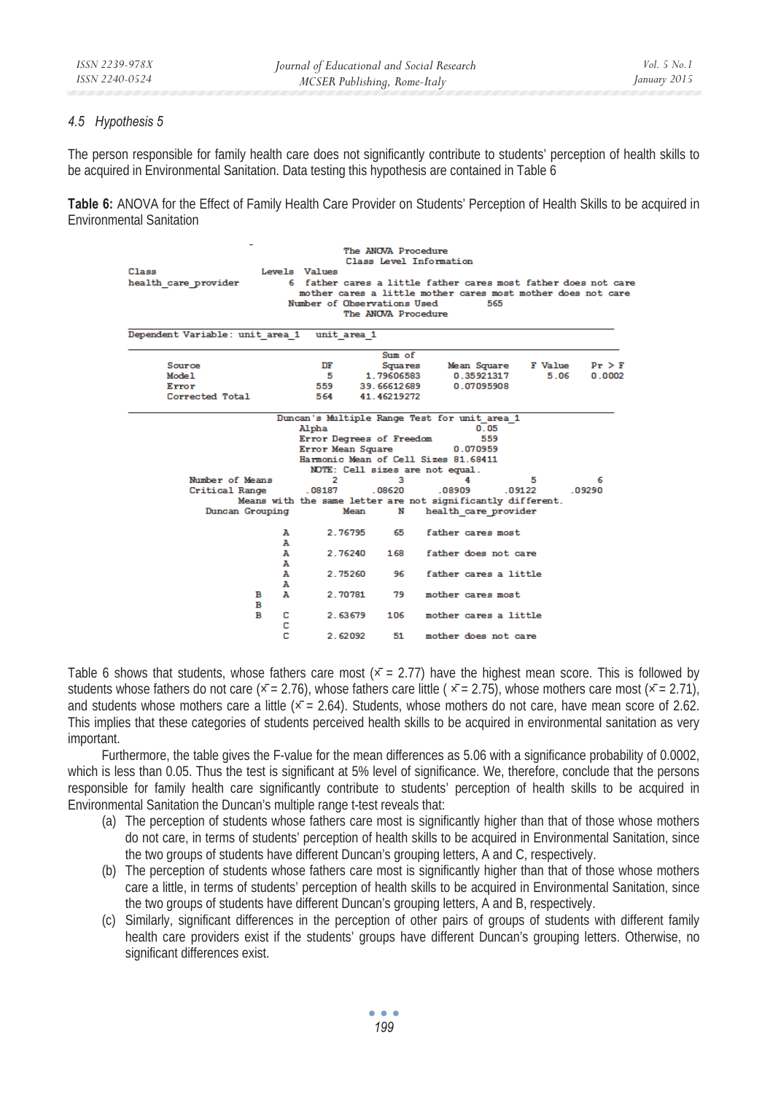## *4.5 Hypothesis 5*

The person responsible for family health care does not significantly contribute to students' perception of health skills to be acquired in Environmental Sanitation. Data testing this hypothesis are contained in Table 6

**Table 6:** ANOVA for the Effect of Family Health Care Provider on Students' Perception of Health Skills to be acquired in Environmental Sanitation

|                                 |   |                             | The ANOVA Procedure |                                                             |                       |                                                                |  |
|---------------------------------|---|-----------------------------|---------------------|-------------------------------------------------------------|-----------------------|----------------------------------------------------------------|--|
|                                 |   |                             |                     | Class Level Information                                     |                       |                                                                |  |
| Class                           |   | Levels Values               |                     |                                                             |                       |                                                                |  |
| health care provider            |   |                             |                     |                                                             |                       | 6 father cares a little father cares most father does not care |  |
|                                 |   |                             |                     |                                                             |                       | mother cares a little mother cares most mother does not care   |  |
|                                 |   | Number of Observations Used |                     |                                                             | 565                   |                                                                |  |
|                                 |   |                             | The ANOVA Procedure |                                                             |                       |                                                                |  |
|                                 |   |                             |                     |                                                             |                       |                                                                |  |
| Dependent Variable: unit area 1 |   | unit area 1                 |                     |                                                             |                       |                                                                |  |
|                                 |   |                             | Sum of              |                                                             |                       |                                                                |  |
| Source                          |   | DF                          | Squares             |                                                             | Mean Square           | F Value<br>Pr > F                                              |  |
| Mode 1                          |   | 5                           | 1.79606583          | 0.35921317                                                  |                       | 5.06<br>0.0002                                                 |  |
| Error                           |   | 559                         | 39.66612689         | 0.07095908                                                  |                       |                                                                |  |
| Corrected Total                 |   | 564                         | 41 46219272         |                                                             |                       |                                                                |  |
|                                 |   |                             |                     |                                                             |                       |                                                                |  |
|                                 |   |                             |                     | Duncan's Multiple Range Test for unit area 1                |                       |                                                                |  |
|                                 |   | Alpha                       |                     |                                                             | 0.05                  |                                                                |  |
|                                 |   | Error Degrees of Freedom    |                     |                                                             | 559                   |                                                                |  |
|                                 |   | Error Mean Square           |                     | 0.070959                                                    |                       |                                                                |  |
|                                 |   |                             |                     | Harmonic Mean of Cell Sizes 81.68411                        |                       |                                                                |  |
|                                 |   |                             |                     | NOTE: Cell sizes are not equal.                             |                       |                                                                |  |
| Number of Means                 |   | $\overline{2}$              | з                   | 4                                                           | 5                     | 6                                                              |  |
| Critical Range                  |   | .08187                      | .08620              | .08909                                                      | 09122                 | .09290                                                         |  |
|                                 |   |                             |                     | Means with the same letter are not significantly different. |                       |                                                                |  |
| Duncan Grouping                 |   | Mean                        | N                   | health care provider                                        |                       |                                                                |  |
|                                 |   |                             |                     |                                                             |                       |                                                                |  |
|                                 | А | 2.76795                     | 65                  | father cares most                                           |                       |                                                                |  |
|                                 | Α |                             |                     |                                                             |                       |                                                                |  |
|                                 | Α | 2.76240                     | 168                 | father does not care                                        |                       |                                                                |  |
|                                 | А |                             |                     |                                                             |                       |                                                                |  |
|                                 | А | 2.75260                     | 96                  |                                                             | father cares a little |                                                                |  |
|                                 | А |                             |                     |                                                             |                       |                                                                |  |
| в                               | А | 2.70781                     | 79                  | mother cares most                                           |                       |                                                                |  |
| в                               |   |                             |                     |                                                             |                       |                                                                |  |
| в                               | с | 2.63679                     | 106                 |                                                             | mother cares a little |                                                                |  |
|                                 | с |                             |                     |                                                             |                       |                                                                |  |
|                                 | c | 2.62092                     | 51                  | mother does not care                                        |                       |                                                                |  |
|                                 |   |                             |                     |                                                             |                       |                                                                |  |

Table 6 shows that students, whose fathers care most ( $\bar{x}$  = 2.77) have the highest mean score. This is followed by students whose fathers do not care ( $\bar{x}$  = 2.76), whose fathers care little ( $\bar{x}$  = 2.75), whose mothers care most ( $\bar{x}$  = 2.71), and students whose mothers care a little ( $\bar{x}$  = 2.64). Students, whose mothers do not care, have mean score of 2.62. This implies that these categories of students perceived health skills to be acquired in environmental sanitation as very important.

Furthermore, the table gives the F-value for the mean differences as 5.06 with a significance probability of 0.0002, which is less than 0.05. Thus the test is significant at 5% level of significance. We, therefore, conclude that the persons responsible for family health care significantly contribute to students' perception of health skills to be acquired in Environmental Sanitation the Duncan's multiple range t-test reveals that:

- (a) The perception of students whose fathers care most is significantly higher than that of those whose mothers do not care, in terms of students' perception of health skills to be acquired in Environmental Sanitation, since the two groups of students have different Duncan's grouping letters, A and C, respectively.
- (b) The perception of students whose fathers care most is significantly higher than that of those whose mothers care a little, in terms of students' perception of health skills to be acquired in Environmental Sanitation, since the two groups of students have different Duncan's grouping letters, A and B, respectively.
- (c) Similarly, significant differences in the perception of other pairs of groups of students with different family health care providers exist if the students' groups have different Duncan's grouping letters. Otherwise, no significant differences exist.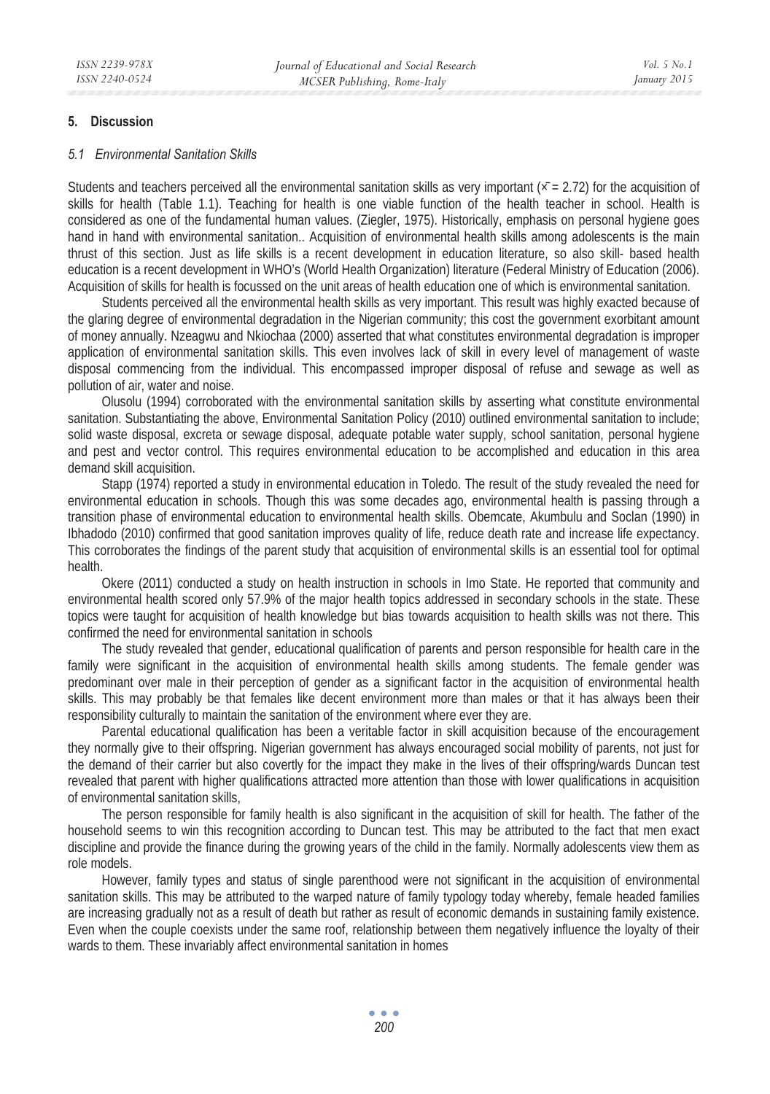# **5. Discussion**

#### *5.1 Environmental Sanitation Skills*

Students and teachers perceived all the environmental sanitation skills as very important ( $\bar{x}$  = 2.72) for the acquisition of skills for health (Table 1.1). Teaching for health is one viable function of the health teacher in school. Health is considered as one of the fundamental human values. (Ziegler, 1975). Historically, emphasis on personal hygiene goes hand in hand with environmental sanitation.. Acquisition of environmental health skills among adolescents is the main thrust of this section. Just as life skills is a recent development in education literature, so also skill- based health education is a recent development in WHO's (World Health Organization) literature (Federal Ministry of Education (2006). Acquisition of skills for health is focussed on the unit areas of health education one of which is environmental sanitation.

Students perceived all the environmental health skills as very important. This result was highly exacted because of the glaring degree of environmental degradation in the Nigerian community; this cost the government exorbitant amount of money annually. Nzeagwu and Nkiochaa (2000) asserted that what constitutes environmental degradation is improper application of environmental sanitation skills. This even involves lack of skill in every level of management of waste disposal commencing from the individual. This encompassed improper disposal of refuse and sewage as well as pollution of air, water and noise.

Olusolu (1994) corroborated with the environmental sanitation skills by asserting what constitute environmental sanitation. Substantiating the above, Environmental Sanitation Policy (2010) outlined environmental sanitation to include; solid waste disposal, excreta or sewage disposal, adequate potable water supply, school sanitation, personal hygiene and pest and vector control. This requires environmental education to be accomplished and education in this area demand skill acquisition.

Stapp (1974) reported a study in environmental education in Toledo. The result of the study revealed the need for environmental education in schools. Though this was some decades ago, environmental health is passing through a transition phase of environmental education to environmental health skills. Obemcate, Akumbulu and Soclan (1990) in Ibhadodo (2010) confirmed that good sanitation improves quality of life, reduce death rate and increase life expectancy. This corroborates the findings of the parent study that acquisition of environmental skills is an essential tool for optimal health.

Okere (2011) conducted a study on health instruction in schools in Imo State. He reported that community and environmental health scored only 57.9% of the major health topics addressed in secondary schools in the state. These topics were taught for acquisition of health knowledge but bias towards acquisition to health skills was not there. This confirmed the need for environmental sanitation in schools

The study revealed that gender, educational qualification of parents and person responsible for health care in the family were significant in the acquisition of environmental health skills among students. The female gender was predominant over male in their perception of gender as a significant factor in the acquisition of environmental health skills. This may probably be that females like decent environment more than males or that it has always been their responsibility culturally to maintain the sanitation of the environment where ever they are.

Parental educational qualification has been a veritable factor in skill acquisition because of the encouragement they normally give to their offspring. Nigerian government has always encouraged social mobility of parents, not just for the demand of their carrier but also covertly for the impact they make in the lives of their offspring/wards Duncan test revealed that parent with higher qualifications attracted more attention than those with lower qualifications in acquisition of environmental sanitation skills,

The person responsible for family health is also significant in the acquisition of skill for health. The father of the household seems to win this recognition according to Duncan test. This may be attributed to the fact that men exact discipline and provide the finance during the growing years of the child in the family. Normally adolescents view them as role models.

However, family types and status of single parenthood were not significant in the acquisition of environmental sanitation skills. This may be attributed to the warped nature of family typology today whereby, female headed families are increasing gradually not as a result of death but rather as result of economic demands in sustaining family existence. Even when the couple coexists under the same roof, relationship between them negatively influence the loyalty of their wards to them. These invariably affect environmental sanitation in homes